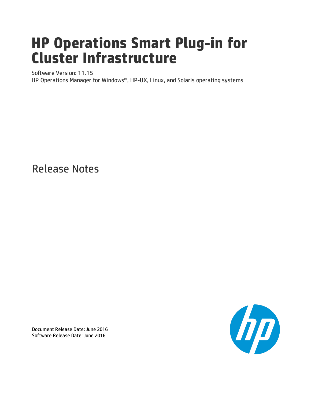# **HP Operations Smart Plug-in for Cluster Infrastructure**

Software Version: 11.15

HP Operations Manager for Windows®, HP-UX, Linux, and Solaris operating systems

Release Notes



Document Release Date: June 2016 Software Release Date: June 2016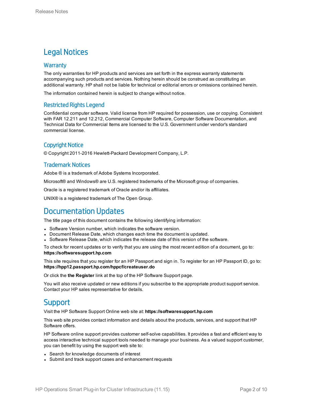### Legal Notices

#### **Warranty**

The only warranties for HP products and services are set forth in the express warranty statements accompanying such products and services. Nothing herein should be construed as constituting an additional warranty. HP shall not be liable for technical or editorial errors or omissions contained herein.

The information contained herein is subject to change without notice.

#### Restricted Rights Legend

Confidential computer software. Valid license from HP required for possession, use or copying. Consistent with FAR 12.211 and 12.212, Commercial Computer Software, Computer Software Documentation, and Technical Data for Commercial Items are licensed to the U.S. Government under vendor's standard commercial license.

#### Copyright Notice

© Copyright 2011-2016 Hewlett-Packard Development Company, L.P.

#### Trademark Notices

Adobe ® is a trademark of Adobe Systems Incorporated.

Microsoft® and Windows® are U.S. registered trademarks of the Microsoft group of companies.

Oracle is a registered trademark of Oracle and/or its affiliates.

UNIX® is a registered trademark of The Open Group.

### Documentation Updates

The title page of this document contains the following identifying information:

- Software Version number, which indicates the software version.
- Document Release Date, which changes each time the document is updated.
- <sup>l</sup> Software Release Date, which indicates the release date of this version of the software.

To check for recent updates or to verify that you are using the most recent edition of a document, go to: **https://softwaresupport.hp.com**

This site requires that you register for an HP Passport and sign in. To register for an HP Passport ID, go to: **https://hpp12.passport.hp.com/hppcf/createuser.do**

Or click the **the Register** link at the top of the HP Software Support page.

You will also receive updated or new editions if you subscribe to the appropriate product support service. Contact your HP sales representative for details.

### **Support**

Visit the HP Software Support Online web site at: **https://softwaresupport.hp.com**

This web site provides contact information and details about the products, services, and support that HP Software offers.

HP Software online support provides customer self-solve capabilities. It provides a fast and efficient way to access interactive technical support tools needed to manage your business. As a valued support customer, you can benefit by using the support web site to:

- Search for knowledge documents of interest
- Submit and track support cases and enhancement requests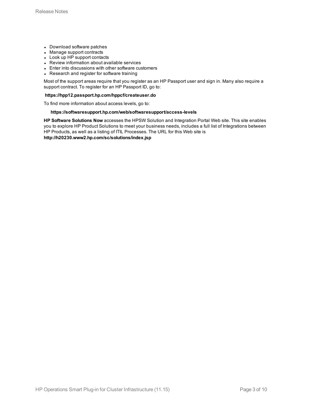- Download software patches
- Manage support contracts
- Look up HP support contacts
- Review information about available services
- Enter into discussions with other software customers
- Research and register for software training

Most of the support areas require that you register as an HP Passport user and sign in. Many also require a support contract. To register for an HP Passport ID, go to:

#### **https://hpp12.passport.hp.com/hppcf/createuser.do**

To find more information about access levels, go to:

#### **https://softwaresupport.hp.com/web/softwaresupport/access-levels**

**HP Software Solutions Now** accesses the HPSW Solution and Integration Portal Web site. This site enables you to explore HP Product Solutions to meet your business needs, includes a full list of Integrations between HP Products, as well as a listing of ITIL Processes. The URL for this Web site is **http://h20230.www2.hp.com/sc/solutions/index.jsp**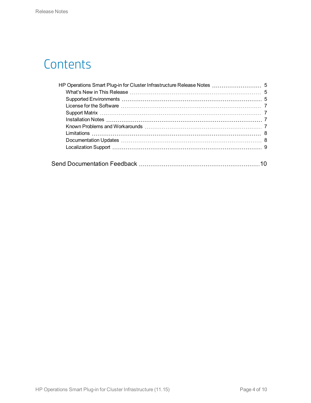# **Contents**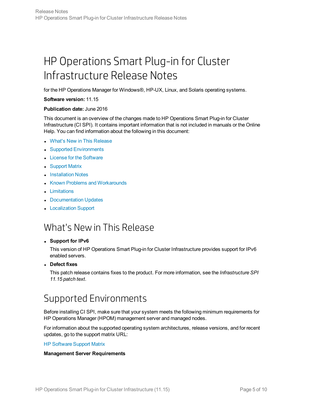# <span id="page-4-0"></span>HP Operations Smart Plug-in for Cluster Infrastructure Release Notes

for the HP Operations Manager for Windows®, HP-UX, Linux, and Solaris operating systems.

#### **Software version:** 11.15

#### **Publication date:** June 2016

This document is an overview of the changes made to HP Operations Smart Plug-in for Cluster Infrastructure (CI SPI). It contains important information that is not included in manuals or the Online Help. You can find information about the following in this document:

- What's New in This [Release](#page-4-1)
- Supported [Environments](#page-4-2)
- License for the [Software](#page-6-0)
- [Support](#page-6-1) Matrix
- [Installation](#page-6-2) Notes
- Known Problems and [Workarounds](#page-6-3)
- **[Limitations](#page-7-0)**
- [Documentation](#page-7-1) Updates
- <span id="page-4-1"></span>• [Localization](#page-8-0) Support

### What's Newin This Release

#### <sup>l</sup> **Support for IPv6**

This version of HP Operations Smart Plug-in for Cluster Infrastructure provides support for IPv6 enabled servers.

<sup>l</sup> **Defect fixes**

<span id="page-4-2"></span>This patch release contains fixes to the product. For more information, see the *Infrastructure SPI 11.15 patch text*.

## Supported Environments

Before installing CI SPI, make sure that your system meets the following minimum requirements for HP Operations Manager (HPOM) management server and managed nodes.

For information about the supported operating system architectures, release versions, and for recent updates, go to the support matrix URL:

HP [Software](https://softwaresupport.hp.com/group/softwaresupport/search-result/-/facetsearch/document/KM323488) Support Matrix

#### **Management Server Requirements**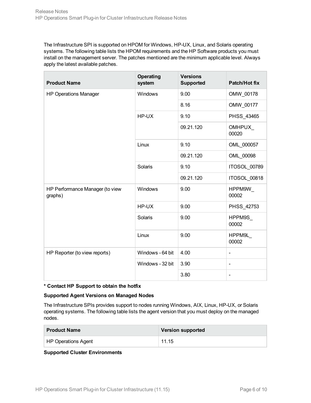The Infrastructure SPI is supported on HPOM for Windows, HP-UX, Linux, and Solaris operating systems. The following table lists the HPOM requirements and the HP Software products you must install on the management server. The patches mentioned are the minimum applicable level. Always apply the latest available patches.

| <b>Product Name</b>                        | <b>Operating</b><br>system | <b>Versions</b><br><b>Supported</b> | Patch/Hot fix          |
|--------------------------------------------|----------------------------|-------------------------------------|------------------------|
| <b>HP Operations Manager</b>               | Windows                    | 9.00                                | OMW_00178              |
|                                            |                            | 8.16                                | OMW_00177              |
|                                            | HP-UX                      | 9.10                                | PHSS_43465             |
|                                            |                            | 09.21.120                           | <b>OMHPUX</b><br>00020 |
|                                            | Linux                      | 9.10                                | OML 000057             |
|                                            |                            | 09.21.120                           | OML 00098              |
|                                            | Solaris                    | 9.10                                | ITOSOL 00789           |
|                                            |                            | 09.21.120                           | ITOSOL 00818           |
| HP Performance Manager (to view<br>graphs) | Windows                    | 9.00                                | HPPM9W<br>00002        |
|                                            | HP-UX                      | 9.00                                | PHSS_42753             |
|                                            | Solaris                    | 9.00                                | HPPM9S<br>00002        |
|                                            | Linux                      | 9.00                                | HPPM9L<br>00002        |
| HP Reporter (to view reports)              | Windows - 64 bit           | 4.00                                | $\blacksquare$         |
|                                            | Windows - 32 bit           | 3.90                                | $\frac{1}{2}$          |
|                                            |                            | 3.80                                | $\blacksquare$         |

#### **\* Contact HP Support to obtain the hotfix**

#### **Supported Agent Versions on Managed Nodes**

The Infrastructure SPIs provides support to nodes running Windows, AIX, Linux, HP-UX, or Solaris operating systems. The following table lists the agent version that you must deploy on the managed nodes.

| <b>Product Name</b> | <b>Version supported</b> |
|---------------------|--------------------------|
| HP Operations Agent | 11.15                    |

#### **Supported Cluster Environments**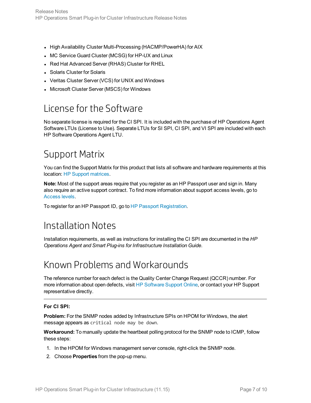- High Availability Cluster Multi-Processing (HACMP/PowerHA) for AIX
- MC Service Guard Cluster (MCSG) for HP-UX and Linux
- Red Hat Advanced Server (RHAS) Cluster for RHEL
- Solaris Cluster for Solaris
- Veritas Cluster Server (VCS) for UNIX and Windows
- <span id="page-6-0"></span>• Microsoft Cluster Server (MSCS) for Windows

## License for the Software

No separate license is required for the CI SPI. It is included with the purchase of HP Operations Agent Software LTUs (License to Use). Separate LTUs for SI SPI, CI SPI, and VI SPI are included with each HP Software Operations Agent LTU.

## <span id="page-6-1"></span>Support Matrix

You can find the Support Matrix for this product that lists all software and hardware requirements at this location: HP Support [matrices](http://h20230.www2.hp.com/sc/support_matrices.jsp).

**Note:** Most of the support areas require that you register as an HP Passport user and sign in. Many also require an active support contract. To find more information about support access levels, go to [Access](http://support.openview.hp.com/access_level.jsp) levels.

<span id="page-6-2"></span>To register for an HP Passport ID, go to HP Passport [Registration.](http://h20229.www2.hp.com/passport-registration.html)

### Installation Notes

<span id="page-6-3"></span>Installation requirements, as well as instructions for installing the CI SPI are documented in the *HP Operations Agent and Smart Plug-ins for Infrastructure Installation Guide*.

### Known Problems and Workarounds

The reference number for each defect is the Quality Center Change Request (QCCR) number. For more information about open defects, visit HP [Software](http://www.hp.com/managementsoftware/support) Support Online, or contact your HP Support representative directly.

#### **For CI SPI:**

**Problem:** For the SNMP nodes added by Infrastructure SPIs on HPOM for Windows, the alert message appears as critical node may be down.

**Workaround:** To manually update the heartbeat polling protocol for the SNMP node to ICMP, follow these steps:

- 1. In the HPOM for Windows management server console, right-click the SNMP node.
- 2. Choose **Properties** from the pop-up menu.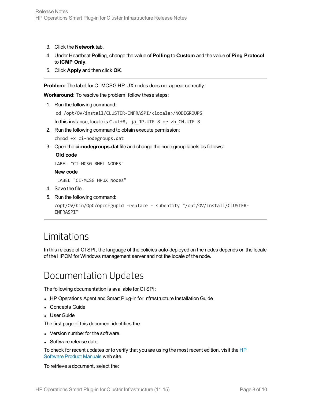- 3. Click the **Network** tab.
- 4. Under Heartbeat Polling, change the value of **Polling** to **Custom** and the value of **Ping Protocol** to **ICMP Only**.
- 5. Click **Apply** and then click **OK**.

**Problem:** The label for CI-MCSG HP-UX nodes does not appear correctly.

**Workaround:** To resolve the problem, follow these steps:

1. Run the following command:

cd /opt/OV/install/CLUSTER-INFRASPI/<locale>/NODEGROUPS

In this instance, locale is C.utf8, ja\_JP.UTF-8 or zh\_CN.UTF-8

2. Run the following command to obtain execute permission:

chmod +x ci-nodegroups.dat

3. Open the **ci-nodegroups.dat** file and change the node group labels as follows:

#### **Old code**

LABEL "CI-MCSG RHEL NODES"

#### **New code**

LABEL "CI-MCSG HPUX Nodes"

- 4. Save the file.
- 5. Run the following command:

```
/opt/OV/bin/OpC/opccfgupld -replace - subentity "/opt/OV/install/CLUSTER-
INFRASPI"
```
## <span id="page-7-0"></span>Limitations

<span id="page-7-1"></span>In this release of CI SPI, the language of the policies auto-deployed on the nodes depends on the locale of the HPOM for Windows management server and not the locale of the node.

### Documentation Updates

The following documentation is available for CI SPI:

- HP Operations Agent and Smart Plug-in for Infrastructure Installation Guide
- Concepts Guide
- User Guide

The first page of this document identifies the:

- Version number for the software.
- Software release date.

To check for recent updates or to verify that you are using the most recent edition, visit the [HP](http://h20230.www2.hp.com/selfsolve/manuals) [Software](http://h20230.www2.hp.com/selfsolve/manuals) Product Manuals web site.

To retrieve a document, select the: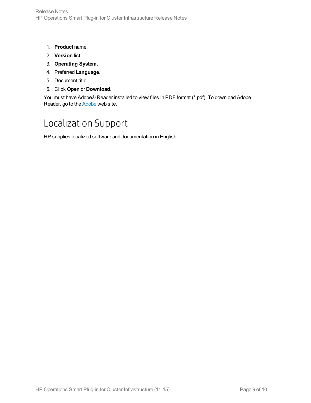- 1. **Product** name.
- 2. **Version** list.
- 3. **Operating System**.
- 4. Preferred **Language**.
- 5. Document title.
- 6. Click **Open** or **Download**.

<span id="page-8-0"></span>You must have Adobe® Reader installed to view files in PDF format (\*.pdf). To download Adobe Reader, go to the [Adobe](http://www.adobe.com/) web site.

## Localization Support

HP supplies localized software and documentation in English.